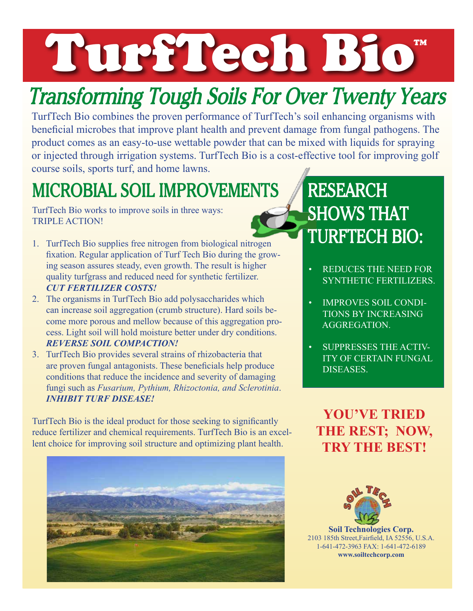## TurfTech Bio ™

# *Transforming Tough Soils For Over Twenty Years*

TurfTech Bio combines the proven performance of TurfTech's soil enhancing organisms with beneficial microbes that improve plant health and prevent damage from fungal pathogens. The product comes as an easy-to-use wettable powder that can be mixed with liquids for spraying or injected through irrigation systems. TurfTech Bio is a cost-effective tool for improving golf course soils, sports turf, and home lawns.

#### **MICROBIAL SOIL IMPROVEMENTS**

TurfTech Bio works to improve soils in three ways: TRIPLE ACTION!

- 1. TurfTech Bio supplies free nitrogen from biological nitrogen fixation. Regular application of Turf Tech Bio during the growing season assures steady, even growth. The result is higher quality turfgrass and reduced need for synthetic fertilizer. *CUT FERTILIZER COSTS!*
- 2. The organisms in TurfTech Bio add polysaccharides which can increase soil aggregation (crumb structure). Hard soils become more porous and mellow because of this aggregation process. Light soil will hold moisture better under dry conditions. *REVERSE SOIL COMPACTION!*
- 3. TurfTech Bio provides several strains of rhizobacteria that are proven fungal antagonists. These beneficials help produce conditions that reduce the incidence and severity of damaging fungi such as *Fusarium, Pythium, Rhizoctonia, and Sclerotinia*. *INHIBIT TURF DISEASE!*

TurfTech Bio is the ideal product for those seeking to significantly reduce fertilizer and chemical requirements. TurfTech Bio is an excellent choice for improving soil structure and optimizing plant health.



### **RESEARCH SHOWS THAT TURFTECH BIO:**

- REDUCES THE NEED FOR SYNTHETIC FERTILIZERS.
- IMPROVES SOIL CONDI-TIONS BY INCREASING AGGREGATION.
- SUPPRESSES THE ACTIV-ITY OF CERTAIN FUNGAL DISEASES.

**YOU'VE TRIED THE REST; NOW, TRY THE BEST!**



**Soil Technologies Corp.** 2103 185th Street,Fairfield, IA 52556, U.S.A. 1-641-472-3963 FAX: 1-641-472-6189 **www.soiltechcorp.com**